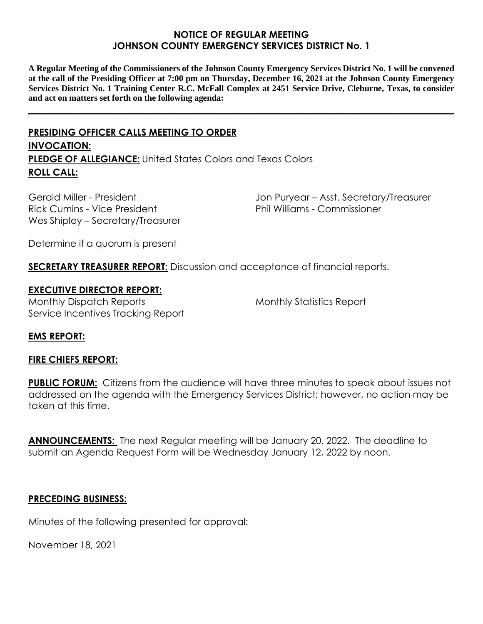# **NOTICE OF REGULAR MEETING JOHNSON COUNTY EMERGENCY SERVICES DISTRICT No. 1**

**A Regular Meeting of the Commissioners of the Johnson County Emergency Services District No. 1 will be convened at the call of the Presiding Officer at 7:00 pm on Thursday, December 16, 2021 at the Johnson County Emergency Services District No. 1 Training Center R.C. McFall Complex at 2451 Service Drive, Cleburne, Texas, to consider and act on matters set forth on the following agenda:**

**\_\_\_\_\_\_\_\_\_\_\_\_\_\_\_\_\_\_\_\_\_\_\_\_\_\_\_\_\_\_\_\_\_\_\_\_\_\_\_\_\_\_\_\_\_\_\_\_\_\_\_\_\_\_\_\_\_\_\_\_\_\_\_\_\_\_\_\_\_\_\_\_\_\_\_\_\_\_\_\_\_\_\_\_\_\_\_\_\_\_**

# **PRESIDING OFFICER CALLS MEETING TO ORDER INVOCATION: PLEDGE OF ALLEGIANCE:** United States Colors and Texas Colors **ROLL CALL:**

Gerald Miller - President Rick Cumins - Vice President Wes Shipley – Secretary/Treasurer Jon Puryear – Asst. Secretary/Treasurer Phil Williams - Commissioner

Determine if a quorum is present

**SECRETARY TREASURER REPORT:** Discussion and acceptance of financial reports.

# **EXECUTIVE DIRECTOR REPORT:**

Monthly Dispatch Reports Service Incentives Tracking Report Monthly Statistics Report

## **EMS REPORT:**

## **FIRE CHIEFS REPORT:**

**PUBLIC FORUM:** Citizens from the audience will have three minutes to speak about issues not addressed on the agenda with the Emergency Services District; however, no action may be taken at this time.

**ANNOUNCEMENTS:** The next Regular meeting will be January 20, 2022. The deadline to submit an Agenda Request Form will be Wednesday January 12, 2022 by noon.

## **PRECEDING BUSINESS:**

Minutes of the following presented for approval:

November 18, 2021